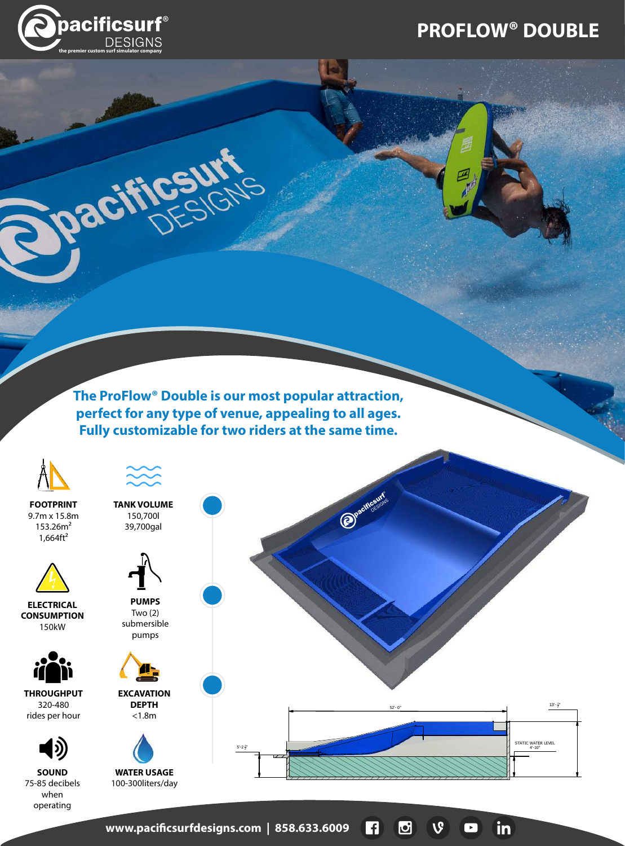## **PROFLOW® DOUBLE**

in

 $\overline{\phantom{0}}$ 



paci

**The ProFlow® Double is our most popular attraction, perfect for any type of venue, appealing to all ages. Fully customizable for two riders at the same time.**

or.



**www.pacicsurfdesigns.com | 858.633.6009**   $\vert f \vert$  $\boldsymbol{\mathbb{G}}$  $\mathbf{v}$